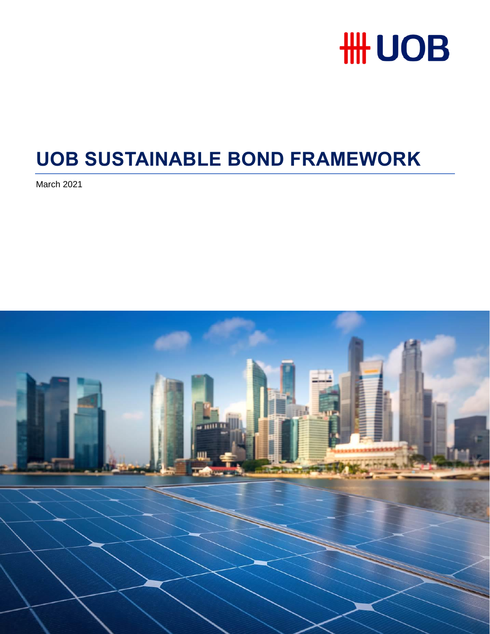

# **UOB SUSTAINABLE BOND FRAMEWORK**

March 2021

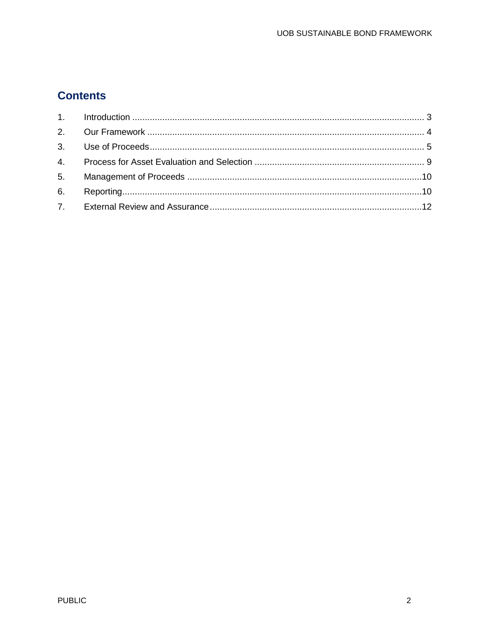# **Contents**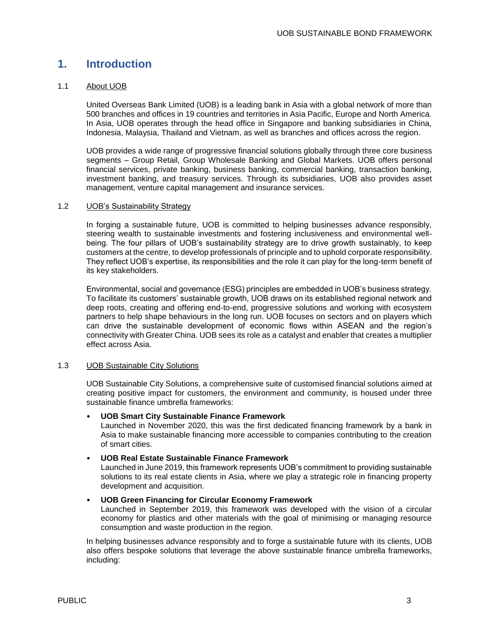## <span id="page-2-0"></span>**1. Introduction**

### 1.1 About UOB

United Overseas Bank Limited (UOB) is a leading bank in Asia with a global network of more than 500 branches and offices in 19 countries and territories in Asia Pacific, Europe and North America. In Asia, UOB operates through the head office in Singapore and banking subsidiaries in China, Indonesia, Malaysia, Thailand and Vietnam, as well as branches and offices across the region.

UOB provides a wide range of progressive financial solutions globally through three core business segments – Group Retail, Group Wholesale Banking and Global Markets. UOB offers personal financial services, private banking, business banking, commercial banking, transaction banking, investment banking, and treasury services. Through its subsidiaries, UOB also provides asset management, venture capital management and insurance services.

### 1.2 UOB's Sustainability Strategy

In forging a sustainable future, UOB is committed to helping businesses advance responsibly, steering wealth to sustainable investments and fostering inclusiveness and environmental wellbeing. The four pillars of UOB's sustainability strategy are to drive growth sustainably, to keep customers at the centre, to develop professionals of principle and to uphold corporate responsibility. They reflect UOB's expertise, its responsibilities and the role it can play for the long-term benefit of its key stakeholders.

Environmental, social and governance (ESG) principles are embedded in UOB's business strategy. To facilitate its customers' sustainable growth, UOB draws on its established regional network and deep roots, creating and offering end-to-end, progressive solutions and working with ecosystem partners to help shape behaviours in the long run. UOB focuses on sectors and on players which can drive the sustainable development of economic flows within ASEAN and the region's connectivity with Greater China. UOB sees its role as a catalyst and enabler that creates a multiplier effect across Asia.

### 1.3 UOB Sustainable City Solutions

UOB Sustainable City Solutions, a comprehensive suite of customised financial solutions aimed at creating positive impact for customers, the environment and community, is housed under three sustainable finance umbrella frameworks:

### • **UOB Smart City Sustainable Finance Framework**

Launched in November 2020, this was the first dedicated financing framework by a bank in Asia to make sustainable financing more accessible to companies contributing to the creation of smart cities.

### • **UOB Real Estate Sustainable Finance Framework**

Launched in June 2019, this framework represents UOB's commitment to providing sustainable solutions to its real estate clients in Asia, where we play a strategic role in financing property development and acquisition.

### • **UOB Green Financing for Circular Economy Framework**

Launched in September 2019, this framework was developed with the vision of a circular economy for plastics and other materials with the goal of minimising or managing resource consumption and waste production in the region.

In helping businesses advance responsibly and to forge a sustainable future with its clients, UOB also offers bespoke solutions that leverage the above sustainable finance umbrella frameworks, including: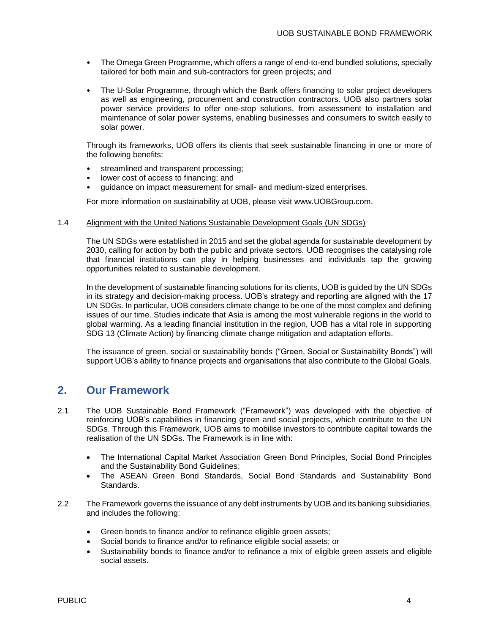- The Omega Green Programme, which offers a range of end-to-end bundled solutions, specially tailored for both main and sub-contractors for green projects; and
- The U-Solar Programme, through which the Bank offers financing to solar project developers as well as engineering, procurement and construction contractors. UOB also partners solar power service providers to offer one-stop solutions, from assessment to installation and maintenance of solar power systems, enabling businesses and consumers to switch easily to solar power.

Through its frameworks, UOB offers its clients that seek sustainable financing in one or more of the following benefits:

- streamlined and transparent processing;
- lower cost of access to financing; and
- guidance on impact measurement for small- and medium-sized enterprises.

For more information on sustainability at UOB, please visit www.UOBGroup.com.

#### 1.4 Alignment with the United Nations Sustainable Development Goals (UN SDGs)

The UN SDGs were established in 2015 and set the global agenda for sustainable development by 2030, calling for action by both the public and private sectors. UOB recognises the catalysing role that financial institutions can play in helping businesses and individuals tap the growing opportunities related to sustainable development.

In the development of sustainable financing solutions for its clients, UOB is guided by the UN SDGs in its strategy and decision-making process. UOB's strategy and reporting are aligned with the 17 UN SDGs. In particular, UOB considers climate change to be one of the most complex and defining issues of our time. Studies indicate that Asia is among the most vulnerable regions in the world to global warming. As a leading financial institution in the region, UOB has a vital role in supporting SDG 13 (Climate Action) by financing climate change mitigation and adaptation efforts.

The issuance of green, social or sustainability bonds ("Green, Social or Sustainability Bonds") will support UOB's ability to finance projects and organisations that also contribute to the Global Goals.

### <span id="page-3-0"></span>**2. Our Framework**

- 2.1 The UOB Sustainable Bond Framework ("Framework") was developed with the objective of reinforcing UOB's capabilities in financing green and social projects, which contribute to the UN SDGs. Through this Framework, UOB aims to mobilise investors to contribute capital towards the realisation of the UN SDGs. The Framework is in line with:
	- The International Capital Market Association Green Bond Principles, Social Bond Principles and the Sustainability Bond Guidelines;
	- The ASEAN Green Bond Standards, Social Bond Standards and Sustainability Bond Standards.
- 2.2 The Framework governs the issuance of any debt instruments by UOB and its banking subsidiaries, and includes the following:
	- Green bonds to finance and/or to refinance eligible green assets;
	- Social bonds to finance and/or to refinance eligible social assets; or
	- Sustainability bonds to finance and/or to refinance a mix of eligible green assets and eligible social assets.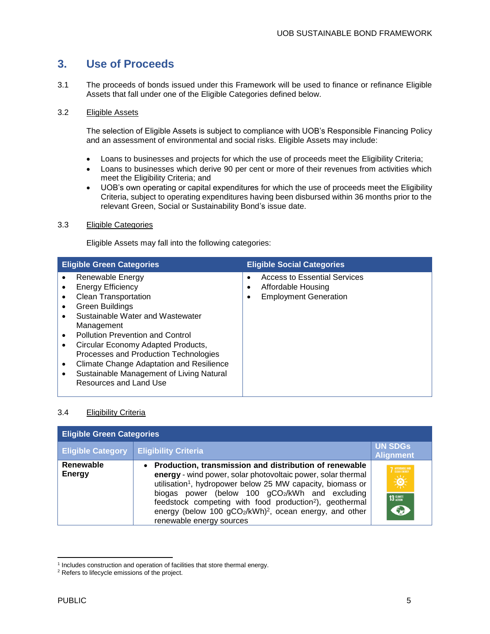# <span id="page-4-0"></span>**3. Use of Proceeds**

3.1 The proceeds of bonds issued under this Framework will be used to finance or refinance Eligible Assets that fall under one of the Eligible Categories defined below.

### 3.2 Eligible Assets

The selection of Eligible Assets is subject to compliance with UOB's Responsible Financing Policy and an assessment of environmental and social risks. Eligible Assets may include:

- Loans to businesses and projects for which the use of proceeds meet the Eligibility Criteria;
- Loans to businesses which derive 90 per cent or more of their revenues from activities which meet the Eligibility Criteria; and
- UOB's own operating or capital expenditures for which the use of proceeds meet the Eligibility Criteria, subject to operating expenditures having been disbursed within 36 months prior to the relevant Green, Social or Sustainability Bond's issue date.

### 3.3 Eligible Categories

Eligible Assets may fall into the following categories:

| <b>Eligible Green Categories</b>                                                                                                                                                                                                                                                                                                                                                                                                                                                                 | <b>Eligible Social Categories</b>                                                                        |
|--------------------------------------------------------------------------------------------------------------------------------------------------------------------------------------------------------------------------------------------------------------------------------------------------------------------------------------------------------------------------------------------------------------------------------------------------------------------------------------------------|----------------------------------------------------------------------------------------------------------|
| Renewable Energy<br>٠<br><b>Energy Efficiency</b><br>٠<br><b>Clean Transportation</b><br>٠<br>Green Buildings<br>$\bullet$<br>Sustainable Water and Wastewater<br>$\bullet$<br>Management<br><b>Pollution Prevention and Control</b><br>$\bullet$<br>Circular Economy Adapted Products,<br>$\bullet$<br>Processes and Production Technologies<br><b>Climate Change Adaptation and Resilience</b><br>$\bullet$<br>Sustainable Management of Living Natural<br>$\bullet$<br>Resources and Land Use | <b>Access to Essential Services</b><br>٠<br>Affordable Housing<br>٠<br><b>Employment Generation</b><br>٠ |

### 3.4 Eligibility Criteria

| <b>Eligible Green Categories</b> |                                                                                                                                                                                                                                                                                                                                                                                                                               |                                                             |
|----------------------------------|-------------------------------------------------------------------------------------------------------------------------------------------------------------------------------------------------------------------------------------------------------------------------------------------------------------------------------------------------------------------------------------------------------------------------------|-------------------------------------------------------------|
| <b>Eligible Category</b>         | <b>Eligibility Criteria</b>                                                                                                                                                                                                                                                                                                                                                                                                   | <b>UN SDGs</b><br><b>Alignment</b>                          |
| Renewable<br><b>Energy</b>       | • Production, transmission and distribution of renewable<br>energy - wind power, solar photovoltaic power, solar thermal<br>utilisation <sup>1</sup> , hydropower below 25 MW capacity, biomass or<br>biogas power (below 100 gCO2/kWh and excluding<br>feedstock competing with food production <sup>2</sup> ), geothermal<br>energy (below 100 gCO2/kWh) <sup>2</sup> , ocean energy, and other<br>renewable energy sources | 7 AFFORDABLE AND<br>$\Rightarrow \phi$<br>13 GLIMATE<br>Eng |

 $\overline{\phantom{a}}$ <sup>1</sup> Includes construction and operation of facilities that store thermal energy.

<sup>2</sup> Refers to lifecycle emissions of the project.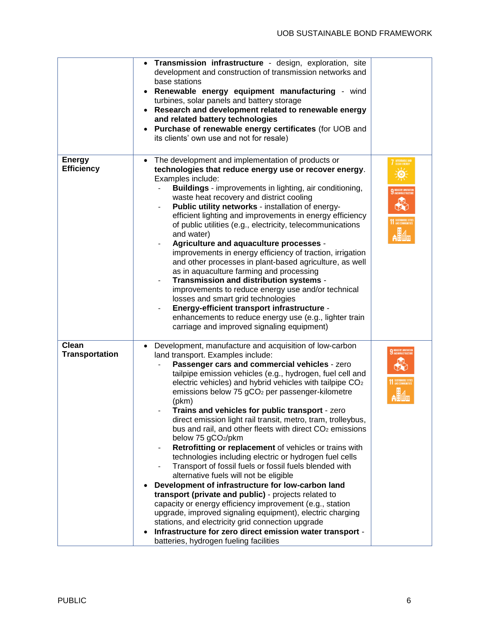|                                       | Transmission infrastructure - design, exploration, site<br>$\bullet$<br>development and construction of transmission networks and<br>base stations<br>Renewable energy equipment manufacturing - wind<br>turbines, solar panels and battery storage<br>Research and development related to renewable energy<br>$\bullet$<br>and related battery technologies<br>Purchase of renewable energy certificates (for UOB and<br>its clients' own use and not for resale)                                                                                                                                                                                                                                                                                                                                                                                                                                                                                                                                                                                                                                                                                                                                                            |  |
|---------------------------------------|-------------------------------------------------------------------------------------------------------------------------------------------------------------------------------------------------------------------------------------------------------------------------------------------------------------------------------------------------------------------------------------------------------------------------------------------------------------------------------------------------------------------------------------------------------------------------------------------------------------------------------------------------------------------------------------------------------------------------------------------------------------------------------------------------------------------------------------------------------------------------------------------------------------------------------------------------------------------------------------------------------------------------------------------------------------------------------------------------------------------------------------------------------------------------------------------------------------------------------|--|
| <b>Energy</b><br><b>Efficiency</b>    | The development and implementation of products or<br>$\bullet$<br>technologies that reduce energy use or recover energy.<br>Examples include:<br><b>Buildings</b> - improvements in lighting, air conditioning,<br>waste heat recovery and district cooling<br>Public utility networks - installation of energy-<br>efficient lighting and improvements in energy efficiency<br>of public utilities (e.g., electricity, telecommunications<br>and water)<br>Agriculture and aquaculture processes -<br>improvements in energy efficiency of traction, irrigation<br>and other processes in plant-based agriculture, as well<br>as in aquaculture farming and processing<br>Transmission and distribution systems -<br>improvements to reduce energy use and/or technical<br>losses and smart grid technologies<br>Energy-efficient transport infrastructure -<br>enhancements to reduce energy use (e.g., lighter train<br>carriage and improved signaling equipment)                                                                                                                                                                                                                                                         |  |
| <b>Clean</b><br><b>Transportation</b> | Development, manufacture and acquisition of low-carbon<br>$\bullet$<br>land transport. Examples include:<br>Passenger cars and commercial vehicles - zero<br>tailpipe emission vehicles (e.g., hydrogen, fuel cell and<br>electric vehicles) and hybrid vehicles with tailpipe CO <sub>2</sub><br>emissions below 75 gCO <sub>2</sub> per passenger-kilometre<br>(pkm)<br>Trains and vehicles for public transport - zero<br>direct emission light rail transit, metro, tram, trolleybus,<br>bus and rail, and other fleets with direct CO <sub>2</sub> emissions<br>below 75 gCO <sub>2</sub> /pkm<br>Retrofitting or replacement of vehicles or trains with<br>technologies including electric or hydrogen fuel cells<br>Transport of fossil fuels or fossil fuels blended with<br>alternative fuels will not be eligible<br>Development of infrastructure for low-carbon land<br>transport (private and public) - projects related to<br>capacity or energy efficiency improvement (e.g., station<br>upgrade, improved signaling equipment), electric charging<br>stations, and electricity grid connection upgrade<br>Infrastructure for zero direct emission water transport -<br>batteries, hydrogen fueling facilities |  |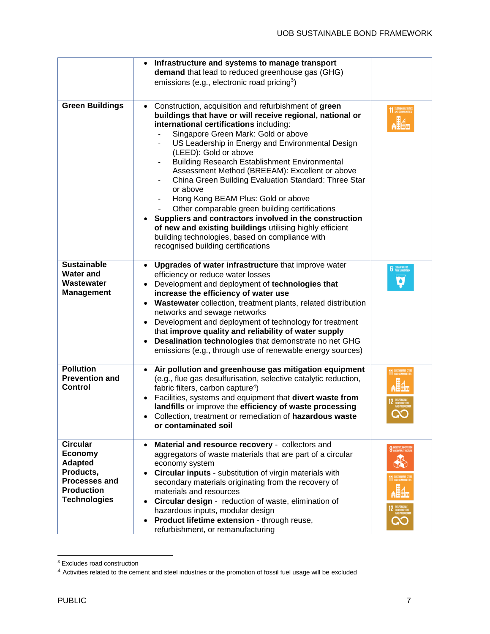|                                                                                                                               | Infrastructure and systems to manage transport<br>$\bullet$<br>demand that lead to reduced greenhouse gas (GHG)<br>emissions (e.g., electronic road pricing <sup>3</sup> )                                                                                                                                                                                                                                                                                                                                                                                                                                                                                                                                                                                                         |                                                |
|-------------------------------------------------------------------------------------------------------------------------------|------------------------------------------------------------------------------------------------------------------------------------------------------------------------------------------------------------------------------------------------------------------------------------------------------------------------------------------------------------------------------------------------------------------------------------------------------------------------------------------------------------------------------------------------------------------------------------------------------------------------------------------------------------------------------------------------------------------------------------------------------------------------------------|------------------------------------------------|
| <b>Green Buildings</b>                                                                                                        | Construction, acquisition and refurbishment of green<br>$\bullet$<br>buildings that have or will receive regional, national or<br>international certifications including:<br>Singapore Green Mark: Gold or above<br>US Leadership in Energy and Environmental Design<br>(LEED): Gold or above<br><b>Building Research Establishment Environmental</b><br>Assessment Method (BREEAM): Excellent or above<br>China Green Building Evaluation Standard: Three Star<br>or above<br>Hong Kong BEAM Plus: Gold or above<br>Other comparable green building certifications<br>Suppliers and contractors involved in the construction<br>of new and existing buildings utilising highly efficient<br>building technologies, based on compliance with<br>recognised building certifications | 11 SUSTAINABLE CITIE                           |
| <b>Sustainable</b><br><b>Water and</b><br>Wastewater<br><b>Management</b>                                                     | Upgrades of water infrastructure that improve water<br>$\bullet$<br>efficiency or reduce water losses<br>Development and deployment of technologies that<br>increase the efficiency of water use<br>Wastewater collection, treatment plants, related distribution<br>$\bullet$<br>networks and sewage networks<br>Development and deployment of technology for treatment<br>$\bullet$<br>that improve quality and reliability of water supply<br>Desalination technologies that demonstrate no net GHG<br>$\bullet$<br>emissions (e.g., through use of renewable energy sources)                                                                                                                                                                                                   | <b>CLEAN WATER</b><br>AND SANITATION<br>۰      |
| <b>Pollution</b><br><b>Prevention and</b><br><b>Control</b>                                                                   | Air pollution and greenhouse gas mitigation equipment<br>$\bullet$<br>(e.g., flue gas desulfurisation, selective catalytic reduction,<br>fabric filters, carbon capture <sup>4</sup> )<br>Facilities, systems and equipment that divert waste from<br>landfills or improve the efficiency of waste processing<br>Collection, treatment or remediation of hazardous waste<br>or contaminated soil                                                                                                                                                                                                                                                                                                                                                                                   | <b>1 SUSTAINABLE C</b><br><b>1</b> AND COMMUNI |
| <b>Circular</b><br>Economy<br><b>Adapted</b><br>Products,<br><b>Processes and</b><br><b>Production</b><br><b>Technologies</b> | Material and resource recovery - collectors and<br>$\bullet$<br>aggregators of waste materials that are part of a circular<br>economy system<br>Circular inputs - substitution of virgin materials with<br>secondary materials originating from the recovery of<br>materials and resources<br>Circular design - reduction of waste, elimination of<br>hazardous inputs, modular design<br>Product lifetime extension - through reuse,<br>$\bullet$<br>refurbishment, or remanufacturing                                                                                                                                                                                                                                                                                            | 9 INDUSTRY, INNOVAT                            |

 $\overline{\phantom{a}}$ <sup>3</sup> Excludes road construction

<sup>4</sup> Activities related to the cement and steel industries or the promotion of fossil fuel usage will be excluded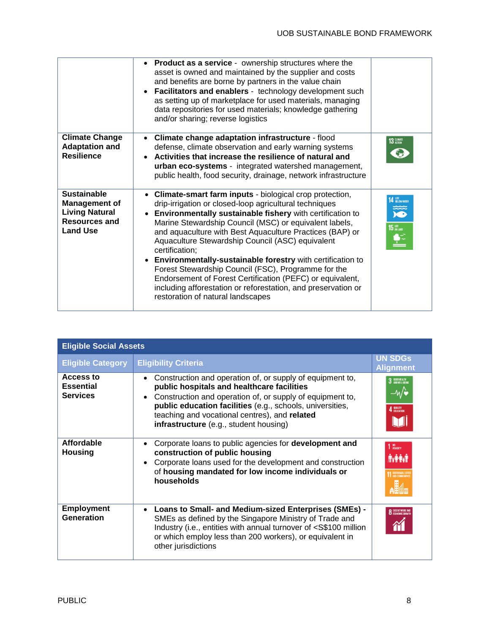|                                                                                                                | • Product as a service - ownership structures where the<br>asset is owned and maintained by the supplier and costs<br>and benefits are borne by partners in the value chain<br>Facilitators and enablers - technology development such<br>as setting up of marketplace for used materials, managing<br>data repositories for used materials; knowledge gathering<br>and/or sharing; reverse logistics                                                                                                                                                                                                                                                                  |                                                 |
|----------------------------------------------------------------------------------------------------------------|------------------------------------------------------------------------------------------------------------------------------------------------------------------------------------------------------------------------------------------------------------------------------------------------------------------------------------------------------------------------------------------------------------------------------------------------------------------------------------------------------------------------------------------------------------------------------------------------------------------------------------------------------------------------|-------------------------------------------------|
| <b>Climate Change</b><br><b>Adaptation and</b><br><b>Resilience</b>                                            | Climate change adaptation infrastructure - flood<br>defense, climate observation and early warning systems<br>Activities that increase the resilience of natural and<br>urban eco-systems - integrated watershed management,<br>public health, food security, drainage, network infrastructure                                                                                                                                                                                                                                                                                                                                                                         | 13 GLIMATE                                      |
| <b>Sustainable</b><br><b>Management of</b><br><b>Living Natural</b><br><b>Resources and</b><br><b>Land Use</b> | • Climate-smart farm inputs - biological crop protection,<br>drip-irrigation or closed-loop agricultural techniques<br>Environmentally sustainable fishery with certification to<br>Marine Stewardship Council (MSC) or equivalent labels,<br>and aquaculture with Best Aquaculture Practices (BAP) or<br>Aquaculture Stewardship Council (ASC) equivalent<br>certification;<br>• Environmentally-sustainable forestry with certification to<br>Forest Stewardship Council (FSC), Programme for the<br>Endorsement of Forest Certification (PEFC) or equivalent,<br>including afforestation or reforestation, and preservation or<br>restoration of natural landscapes | 4 LIFE BELOW WATER<br>X<br>$15UFE$ an land<br>£ |

| <b>Eligible Social Assets</b>                           |                                                                                                                                                                                                                                                                                                                                                        |                                                 |
|---------------------------------------------------------|--------------------------------------------------------------------------------------------------------------------------------------------------------------------------------------------------------------------------------------------------------------------------------------------------------------------------------------------------------|-------------------------------------------------|
| <b>Eligible Category</b>                                | <b>Eligibility Criteria</b>                                                                                                                                                                                                                                                                                                                            | <b>UN SDGs</b><br><b>Alignment</b>              |
| <b>Access to</b><br><b>Essential</b><br><b>Services</b> | Construction and operation of, or supply of equipment to,<br>$\bullet$<br>public hospitals and healthcare facilities<br>Construction and operation of, or supply of equipment to,<br>$\bullet$<br>public education facilities (e.g., schools, universities,<br>teaching and vocational centres), and related<br>infrastructure (e.g., student housing) | 3 GOOD HEALTH<br>4 QUALITY                      |
| <b>Affordable</b><br><b>Housing</b>                     | Corporate loans to public agencies for <b>development and</b><br>$\bullet$<br>construction of public housing<br>Corporate loans used for the development and construction<br>$\bullet$<br>of housing mandated for low income individuals or<br>households                                                                                              | NO<br>Poverty<br><b>RATH</b><br>SUSTAINABLE CIT |
| <b>Employment</b><br>Generation                         | Loans to Small- and Medium-sized Enterprises (SMEs) -<br>$\bullet$<br>SMEs as defined by the Singapore Ministry of Trade and<br>Industry (i.e., entities with annual turnover of <s\$100 million<br="">or which employ less than 200 workers), or equivalent in<br/>other jurisdictions</s\$100>                                                       | <b>O</b> DECENT WORK                            |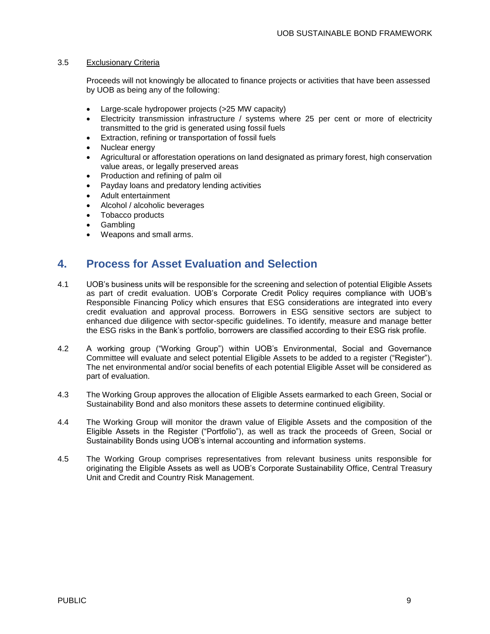### 3.5 Exclusionary Criteria

Proceeds will not knowingly be allocated to finance projects or activities that have been assessed by UOB as being any of the following:

- Large-scale hydropower projects (>25 MW capacity)
- Electricity transmission infrastructure / systems where 25 per cent or more of electricity transmitted to the grid is generated using fossil fuels
- Extraction, refining or transportation of fossil fuels
- Nuclear energy
- Agricultural or afforestation operations on land designated as primary forest, high conservation value areas, or legally preserved areas
- Production and refining of palm oil
- Payday loans and predatory lending activities
- Adult entertainment
- Alcohol / alcoholic beverages
- Tobacco products
- Gambling
- Weapons and small arms.

# <span id="page-8-0"></span>**4. Process for Asset Evaluation and Selection**

- 4.1 UOB's business units will be responsible for the screening and selection of potential Eligible Assets as part of credit evaluation. UOB's Corporate Credit Policy requires compliance with UOB's Responsible Financing Policy which ensures that ESG considerations are integrated into every credit evaluation and approval process. Borrowers in ESG sensitive sectors are subject to enhanced due diligence with sector-specific guidelines. To identify, measure and manage better the ESG risks in the Bank's portfolio, borrowers are classified according to their ESG risk profile.
- 4.2 A working group ("Working Group") within UOB's Environmental, Social and Governance Committee will evaluate and select potential Eligible Assets to be added to a register ("Register"). The net environmental and/or social benefits of each potential Eligible Asset will be considered as part of evaluation.
- 4.3 The Working Group approves the allocation of Eligible Assets earmarked to each Green, Social or Sustainability Bond and also monitors these assets to determine continued eligibility.
- 4.4 The Working Group will monitor the drawn value of Eligible Assets and the composition of the Eligible Assets in the Register ("Portfolio"), as well as track the proceeds of Green, Social or Sustainability Bonds using UOB's internal accounting and information systems.
- 4.5 The Working Group comprises representatives from relevant business units responsible for originating the Eligible Assets as well as UOB's Corporate Sustainability Office, Central Treasury Unit and Credit and Country Risk Management.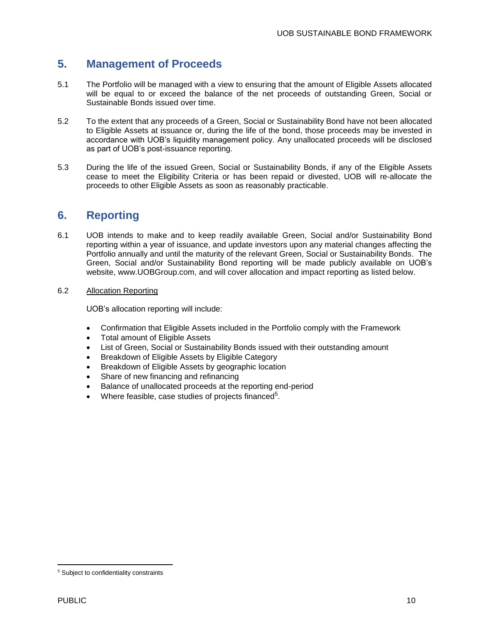### <span id="page-9-0"></span>**5. Management of Proceeds**

- 5.1 The Portfolio will be managed with a view to ensuring that the amount of Eligible Assets allocated will be equal to or exceed the balance of the net proceeds of outstanding Green, Social or Sustainable Bonds issued over time.
- 5.2 To the extent that any proceeds of a Green, Social or Sustainability Bond have not been allocated to Eligible Assets at issuance or, during the life of the bond, those proceeds may be invested in accordance with UOB's liquidity management policy. Any unallocated proceeds will be disclosed as part of UOB's post-issuance reporting.
- 5.3 During the life of the issued Green, Social or Sustainability Bonds, if any of the Eligible Assets cease to meet the Eligibility Criteria or has been repaid or divested, UOB will re-allocate the proceeds to other Eligible Assets as soon as reasonably practicable.

## <span id="page-9-1"></span>**6. Reporting**

- 6.1 UOB intends to make and to keep readily available Green, Social and/or Sustainability Bond reporting within a year of issuance, and update investors upon any material changes affecting the Portfolio annually and until the maturity of the relevant Green, Social or Sustainability Bonds. The Green, Social and/or Sustainability Bond reporting will be made publicly available on UOB's website, www.UOBGroup.com, and will cover allocation and impact reporting as listed below.
- 6.2 Allocation Reporting

UOB's allocation reporting will include:

- Confirmation that Eligible Assets included in the Portfolio comply with the Framework
- Total amount of Eligible Assets
- List of Green, Social or Sustainability Bonds issued with their outstanding amount
- Breakdown of Eligible Assets by Eligible Category
- Breakdown of Eligible Assets by geographic location
- Share of new financing and refinancing
- Balance of unallocated proceeds at the reporting end-period
- $\bullet$  Where feasible, case studies of projects financed<sup>5</sup>.

 $\overline{\phantom{a}}$ 

<sup>5</sup> Subject to confidentiality constraints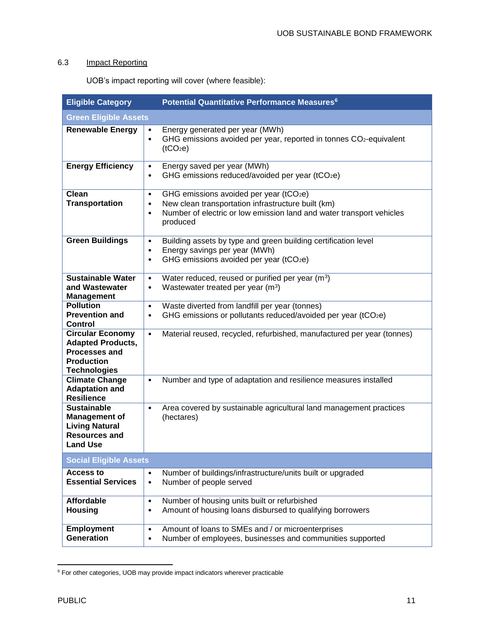### 6.3 Impact Reporting

UOB's impact reporting will cover (where feasible):

| <b>Eligible Category</b>                                                                                                | Potential Quantitative Performance Measures <sup>6</sup>                                                                                                                                                                |  |
|-------------------------------------------------------------------------------------------------------------------------|-------------------------------------------------------------------------------------------------------------------------------------------------------------------------------------------------------------------------|--|
| <b>Green Eligible Assets</b>                                                                                            |                                                                                                                                                                                                                         |  |
| <b>Renewable Energy</b>                                                                                                 | Energy generated per year (MWh)<br>$\bullet$<br>GHG emissions avoided per year, reported in tonnes CO <sub>2</sub> -equivalent<br>$\bullet$<br>(tCO <sub>2</sub> e)                                                     |  |
| <b>Energy Efficiency</b>                                                                                                | Energy saved per year (MWh)<br>$\bullet$<br>GHG emissions reduced/avoided per year (tCO2e)<br>$\bullet$                                                                                                                 |  |
| Clean<br><b>Transportation</b>                                                                                          | GHG emissions avoided per year (tCO2e)<br>$\bullet$<br>New clean transportation infrastructure built (km)<br>$\bullet$<br>Number of electric or low emission land and water transport vehicles<br>$\bullet$<br>produced |  |
| <b>Green Buildings</b>                                                                                                  | Building assets by type and green building certification level<br>$\bullet$<br>Energy savings per year (MWh)<br>$\bullet$<br>GHG emissions avoided per year (tCO2e)<br>$\bullet$                                        |  |
| <b>Sustainable Water</b><br>and Wastewater<br><b>Management</b>                                                         | Water reduced, reused or purified per year (m <sup>3</sup> )<br>$\bullet$<br>Wastewater treated per year (m <sup>3</sup> )<br>$\bullet$                                                                                 |  |
| <b>Pollution</b><br><b>Prevention and</b><br><b>Control</b>                                                             | Waste diverted from landfill per year (tonnes)<br>$\bullet$<br>GHG emissions or pollutants reduced/avoided per year (tCO2e)<br>$\bullet$                                                                                |  |
| <b>Circular Economy</b><br><b>Adapted Products,</b><br><b>Processes and</b><br><b>Production</b><br><b>Technologies</b> | Material reused, recycled, refurbished, manufactured per year (tonnes)<br>$\bullet$                                                                                                                                     |  |
| <b>Climate Change</b><br><b>Adaptation and</b><br><b>Resilience</b>                                                     | Number and type of adaptation and resilience measures installed<br>$\bullet$                                                                                                                                            |  |
| <b>Sustainable</b><br><b>Management of</b><br><b>Living Natural</b><br><b>Resources and</b><br><b>Land Use</b>          | Area covered by sustainable agricultural land management practices<br>$\bullet$<br>(hectares)                                                                                                                           |  |
| <b>Social Eligible Assets</b>                                                                                           |                                                                                                                                                                                                                         |  |
| <b>Access to</b><br><b>Essential Services</b>                                                                           | Number of buildings/infrastructure/units built or upgraded<br>$\bullet$<br>Number of people served<br>$\bullet$                                                                                                         |  |
| <b>Affordable</b><br><b>Housing</b>                                                                                     | Number of housing units built or refurbished<br>$\bullet$<br>Amount of housing loans disbursed to qualifying borrowers<br>$\bullet$                                                                                     |  |
| <b>Employment</b><br><b>Generation</b>                                                                                  | Amount of loans to SMEs and / or microenterprises<br>$\bullet$<br>Number of employees, businesses and communities supported<br>٠                                                                                        |  |

 $6$  For other categories, UOB may provide impact indicators wherever practicable

 $\overline{\phantom{a}}$